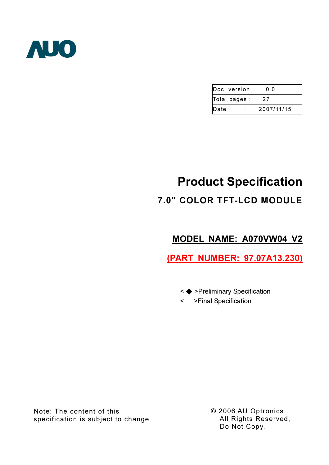

| $\mathsf{Doc}$ , version : | იი         |
|----------------------------|------------|
| Total pages :              | 27         |
| Date                       | 2007/11/15 |

# Product Specification 7.0" COLOR TFT-LCD MODULE

## MODEL NAME: A070VW04 V2

(PART NUMBER: 97.07A13.230)

- < ◆ >Preliminary Specification
- < >Final Specification

Note: The content of this specification is subject to change. © 2006 AU Optronics All Rights Reserved, Do Not Copy.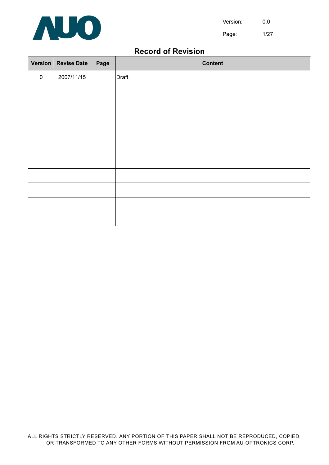

Page: 1/27

## Record of Revision

| Version   | <b>Revise Date</b> | Page | <b>Content</b> |
|-----------|--------------------|------|----------------|
| $\pmb{0}$ | 2007/11/15         |      | Draft.         |
|           |                    |      |                |
|           |                    |      |                |
|           |                    |      |                |
|           |                    |      |                |
|           |                    |      |                |
|           |                    |      |                |
|           |                    |      |                |
|           |                    |      |                |
|           |                    |      |                |
|           |                    |      |                |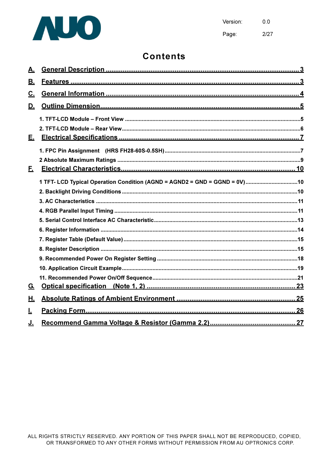

 $0.0$ Version: Page:  $2/27$ 

## **Contents**

| 1 TFT- LCD Typical Operation Condition (AGND = AGND2 = GND = GGND = 0V) 10 |
|----------------------------------------------------------------------------|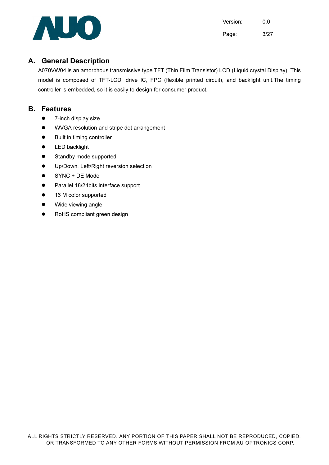

Version: 0.0 Page: 3/27

## A. General Description

A070VW04 is an amorphous transmissive type TFT (Thin Film Transistor) LCD (Liquid crystal Display). This model is composed of TFT-LCD, drive IC, FPC (flexible printed circuit), and backlight unit.The timing controller is embedded, so it is easily to design for consumer product.

#### B. Features

- $\bullet$  7-inch display size
- ! WVGA resolution and stripe dot arrangement
- $\bullet$  Built in timing controller
- **•** LED backlight
- **•** Standby mode supported
- Up/Down, Left/Right reversion selection
- ! SYNC + DE Mode
- Parallel 18/24bits interface support
- 16 M color supported
- Wide viewing angle
- RoHS compliant green design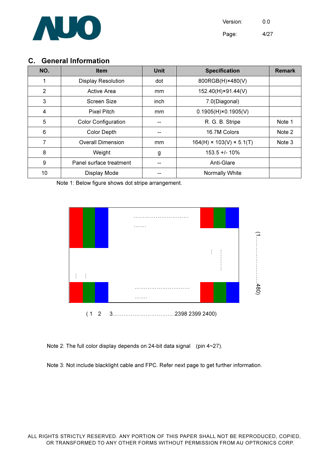

Version: 0.0 Page: 4/27

## C. General Information

| NO.            | <b>Item</b>                | Unit          | <b>Specification</b>                 | <b>Remark</b> |
|----------------|----------------------------|---------------|--------------------------------------|---------------|
|                | <b>Display Resolution</b>  | dot           | 800RGB(H)×480(V)                     |               |
| $\overline{2}$ | Active Area                | <sub>mm</sub> | 152.40(H)×91.44(V)                   |               |
| 3              | Screen Size                | inch          | 7.0(Diagonal)                        |               |
| 4              | <b>Pixel Pitch</b>         | mm.           | $0.1905(H) \times 0.1905(V)$         |               |
| 5              | <b>Color Configuration</b> |               | R. G. B. Stripe                      | Note 1        |
| 6              | <b>Color Depth</b>         |               | 16.7M Colors                         | Note 2        |
| 7              | <b>Overall Dimension</b>   | mm            | $164(H) \times 103(V) \times 5.1(T)$ | Note 3        |
| 8              | Weight                     | g             | $153.5 + 1.10%$                      |               |
| 9              | Panel surface treatment    |               | Anti-Glare                           |               |
| 10             | Display Mode               |               | Normally White                       |               |

Note 1: Below figure shows dot stripe arrangement.



Note 2: The full color display depends on 24-bit data signal (pin 4~27).

Note 3: Not include blacklight cable and FPC. Refer next page to get further information.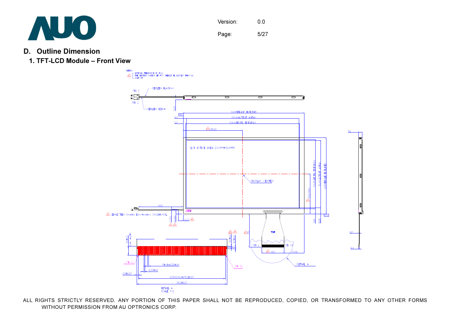

- D. Outline Dimension
	- 1. TFT-LCD Module Front View

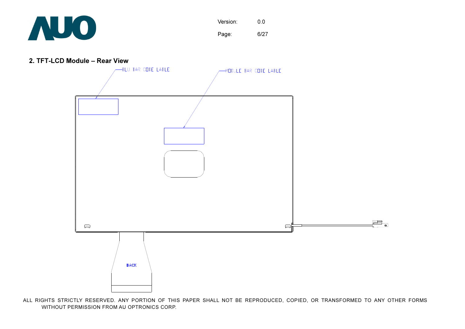

Version: 0.0 Page: 6/27

2. TFT-LCD Module – Rear View

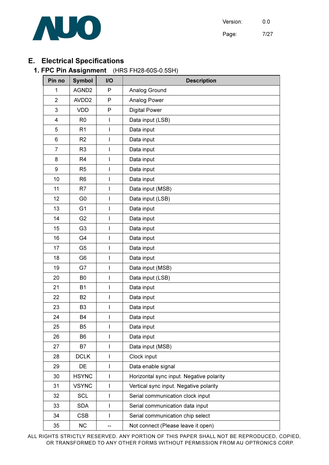

## E. Electrical Specifications

### 1. FPC Pin Assignment (HRS FH28-60S-0.5SH)

| Pin no         | <b>Symbol</b>     | <b>I/O</b>   | <b>Description</b>                       |
|----------------|-------------------|--------------|------------------------------------------|
| 1              | AGND <sub>2</sub> | P            | Analog Ground                            |
| $\overline{2}$ | AVDD <sub>2</sub> | P            | Analog Power                             |
| 3              | <b>VDD</b>        | P            | <b>Digital Power</b>                     |
| 4              | R <sub>0</sub>    | I            | Data input (LSB)                         |
| 5              | R <sub>1</sub>    | I            | Data input                               |
| 6              | R <sub>2</sub>    | I            | Data input                               |
| $\overline{7}$ | R <sub>3</sub>    | I            | Data input                               |
| 8              | R <sub>4</sub>    | I            | Data input                               |
| 9              | R <sub>5</sub>    | I            | Data input                               |
| 10             | R <sub>6</sub>    | I            | Data input                               |
| 11             | R <sub>7</sub>    | I            | Data input (MSB)                         |
| 12             | G <sub>0</sub>    | I            | Data input (LSB)                         |
| 13             | G <sub>1</sub>    | I            | Data input                               |
| 14             | G <sub>2</sub>    | I            | Data input                               |
| 15             | G <sub>3</sub>    | I            | Data input                               |
| 16             | G4                | I            | Data input                               |
| 17             | G <sub>5</sub>    | I            | Data input                               |
| 18             | G <sub>6</sub>    | I            | Data input                               |
| 19             | G7                | I            | Data input (MSB)                         |
| 20             | B <sub>0</sub>    | I            | Data input (LSB)                         |
| 21             | <b>B1</b>         | I            | Data input                               |
| 22             | <b>B2</b>         | I            | Data input                               |
| 23             | B <sub>3</sub>    | I            | Data input                               |
| 24             | B4                | I            | Data input                               |
| 25             | B <sub>5</sub>    | ı            | Data input                               |
| 26             | B <sub>6</sub>    | I            | Data input                               |
| 27             | В7                | I            | Data input (MSB)                         |
| 28             | <b>DCLK</b>       | I            | Clock input                              |
| 29             | DE                | I            | Data enable signal                       |
| 30             | <b>HSYNC</b>      | I            | Horizontal sync input. Negative polarity |
| 31             | <b>VSYNC</b>      | $\mathsf{I}$ | Vertical sync input. Negative polarity   |
| 32             | <b>SCL</b>        | I            | Serial communication clock input         |
| 33             | <b>SDA</b>        | I            | Serial communication data input          |
| 34             | <b>CSB</b>        | I            | Serial communication chip select         |
| 35             | <b>NC</b>         |              | Not connect (Please leave it open)       |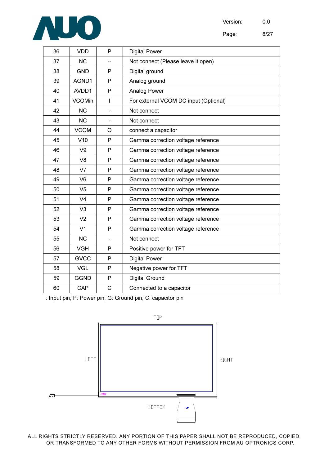

Page: 8/27

| 36 | <b>VDD</b>     | P                            | <b>Digital Power</b>                  |
|----|----------------|------------------------------|---------------------------------------|
| 37 | <b>NC</b>      |                              | Not connect (Please leave it open)    |
| 38 | <b>GND</b>     | P                            | Digital ground                        |
| 39 | AGND1          | P                            | Analog ground                         |
| 40 | AVDD1          | P                            | Analog Power                          |
| 41 | <b>VCOMin</b>  | I                            | For external VCOM DC input (Optional) |
| 42 | <b>NC</b>      | $\qquad \qquad \blacksquare$ | Not connect                           |
| 43 | <b>NC</b>      | $\overline{\phantom{a}}$     | Not connect                           |
| 44 | <b>VCOM</b>    | O                            | connect a capacitor                   |
| 45 | V10            | P                            | Gamma correction voltage reference    |
| 46 | V <sub>9</sub> | P                            | Gamma correction voltage reference    |
| 47 | V <sub>8</sub> | P                            | Gamma correction voltage reference    |
| 48 | V <sub>7</sub> | P                            | Gamma correction voltage reference    |
| 49 | V <sub>6</sub> | P                            | Gamma correction voltage reference    |
| 50 | V <sub>5</sub> | P                            | Gamma correction voltage reference    |
| 51 | V <sub>4</sub> | P                            | Gamma correction voltage reference    |
| 52 | V <sub>3</sub> | P                            | Gamma correction voltage reference    |
| 53 | V <sub>2</sub> | P                            | Gamma correction voltage reference    |
| 54 | V <sub>1</sub> | P                            | Gamma correction voltage reference    |
| 55 | <b>NC</b>      | $\blacksquare$               | Not connect                           |
| 56 | <b>VGH</b>     | P                            | Positive power for TFT                |
| 57 | <b>GVCC</b>    | P                            | <b>Digital Power</b>                  |
| 58 | <b>VGL</b>     | P                            | Negative power for TFT                |
| 59 | <b>GGND</b>    | $\mathsf{P}$                 | Digital Ground                        |
| 60 | CAP            | $\mathsf{C}$                 | Connected to a capacitor              |

I: Input pin; P: Power pin; G: Ground pin; C: capacitor pin

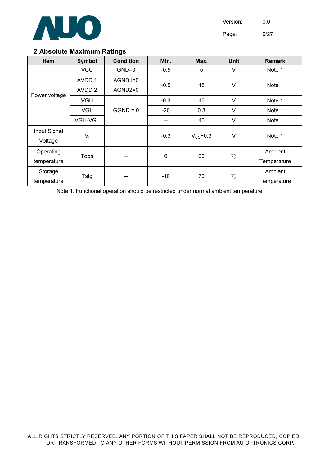

Page: 9/27

#### 2 Absolute Maximum Ratings

| <b>Item</b>             | <b>Symbol</b>     | <b>Condition</b> | Min.        | Max.          | <b>Unit</b>          | <b>Remark</b> |  |
|-------------------------|-------------------|------------------|-------------|---------------|----------------------|---------------|--|
|                         | <b>VCC</b>        | $GND=0$          | $-0.5$      | 5             | $\vee$               | Note 1        |  |
|                         | AVDD 1            | $AGND1=0$        |             |               |                      |               |  |
|                         | AVDD <sub>2</sub> | AGND2=0          | $-0.5$      | 15            | V                    | Note 1        |  |
| Power voltage           | <b>VGH</b>        |                  | $-0.3$      | 40            | $\vee$               | Note 1        |  |
|                         | <b>VGL</b>        | $GGND = 0$       | $-20$       | 0.3           | $\vee$               | Note 1        |  |
|                         | <b>VGH-VGL</b>    |                  | --          | 40            | V                    | Note 1        |  |
| Input Signal<br>Voltage | $V_{1}$           |                  | $-0.3$      | $V_{CC}$ +0.3 | $\vee$               | Note 1        |  |
| Operating               |                   |                  | $\mathbf 0$ |               | $\mathrm{C}^{\circ}$ | Ambient       |  |
| temperature             | Topa              |                  |             | 60            |                      | Temperature   |  |
| Storage                 |                   |                  | $-10$       | 70            |                      | Ambient       |  |
| temperature             | Tstg              |                  |             |               | $^{\circ}C$          | Temperature   |  |

Note 1: Functional operation should be restricted under normal ambient temperature.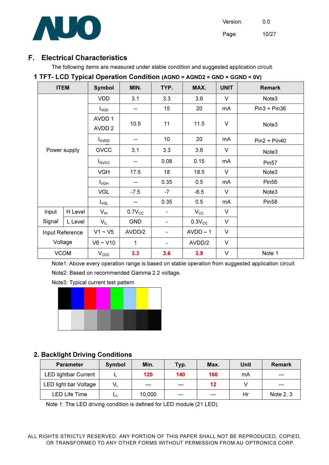

## F. Electrical Characteristics

The following items are measured under stable condition and suggested application circuit.

|             |                 |                    |              | $\cdots$ Lob Typical operation condition (Achb | <b>AVIIVE</b> |             |                   |
|-------------|-----------------|--------------------|--------------|------------------------------------------------|---------------|-------------|-------------------|
| <b>ITEM</b> |                 | Symbol             | MIN.         | TYP.                                           | MAX.          | <b>UNIT</b> | <b>Remark</b>     |
|             |                 | <b>VDD</b>         | 3.1          | 3.3                                            | 3.6           | $\vee$      | Note <sub>3</sub> |
|             |                 | $I_{VDD}$          | --           | 15                                             | 20            | mA          | $Pin3 + Pin36$    |
|             |                 | AVDD 1             | 10.5         | 11                                             | 11.5          | $\vee$      |                   |
|             |                 | AVDD <sub>2</sub>  |              |                                                |               |             | Note3             |
|             |                 | <b>AVDD</b>        |              | 10                                             | 20            | mA          | $Pin2 + Pin40$    |
|             | Power supply    | <b>GVCC</b>        | 3.1          | 3.3                                            | 3.6           | V           | Note3             |
|             |                 | $I_{\text{GVCC}}$  | --           | 0.08                                           | 0.15          | mA          | Pin <sub>57</sub> |
|             |                 | <b>VGH</b>         | 17.5         | 18                                             | 18.5          | $\vee$      | Note3             |
|             |                 | $I_{\mathsf{VGH}}$ |              | 0.35                                           | 0.5           | mA          | Pin <sub>56</sub> |
|             |                 | <b>VGL</b>         | $-7.5$       | $-7$                                           | $-6.5$        | $\vee$      | Note3             |
|             |                 | $I_{\mathsf{VGL}}$ | --           | 0.35                                           | 0.5           | mA          | Pin <sub>58</sub> |
| Input       | H Level         | $V_{IH}$           | $0.7V_{CC}$  | $\qquad \qquad \blacksquare$                   | $V_{\rm CC}$  | V           |                   |
| Signal      | L Level         | $V_{IL}$           | <b>GND</b>   | $\blacksquare$                                 | $0.3V_{CC}$   | V           |                   |
|             | Input Reference | $V1 \sim V5$       | AVDD/2       | $\overline{\phantom{a}}$                       | $AVDD-1$      | $\vee$      |                   |
| Voltage     |                 | $V6 \sim V10$      | $\mathbf{1}$ | $\overline{\phantom{a}}$                       | AVDD/2        | $\vee$      |                   |
| <b>VCOM</b> |                 | $V_{CDC}$          | 3.3          | 3.6                                            | 3.9           | $\vee$      | Note 1            |

#### 1 TFT- LCD Typical Operation Condition (AGND = AGND2 = GND = GGND = 0V)

Note1: Above every operation range is based on stable operation from suggested application circuit.

Note2: Based on recommended Gamma 2.2 voltage.

Note3: Typical current test pattern



## 2. Backlight Driving Conditions

| <b>Parameter</b>            | Symbol         | Min.   | Typ. | Max. | Unit | <b>Remark</b> |
|-----------------------------|----------------|--------|------|------|------|---------------|
| <b>LED lightbar Current</b> |                | 120    | 140  | 160  | mA   | $- - -$       |
| LED light bar Voltage       | V <sub>L</sub> | ---    | ---  | 12   |      | $- - -$       |
| <b>LED Life Time</b>        |                | 10.000 | ---  | ---  | Hr   | Note 2, 3     |

Note 1: The LED driving condition is defined for LED module (21 LED).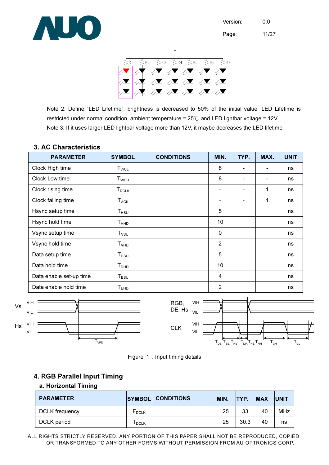

Page: 11/27



Note 2: Define "LED Lifetime": brightness is decreased to 50% of the initial value. LED Lifetime is restricted under normal condition, ambient temperature =  $25^{\circ}$  and LED lightbar voltage = 12V. Note 3: If it uses larger LED lightbar voltage more than 12V, it maybe decreases the LED lifetime.

#### 3. AC Characteristics

| <b>PARAMETER</b>        | <b>SYMBOL</b>                                 | <b>CONDITIONS</b> | MIN.           | TYP. | MAX.                     | <b>UNIT</b> |
|-------------------------|-----------------------------------------------|-------------------|----------------|------|--------------------------|-------------|
| Clock High time         | <b>T</b> <sub>WCL</sub>                       |                   | 8              |      |                          | ns          |
| Clock Low time          | $\mathsf{T}_{\mathsf{WCH}}$                   |                   | 8              |      | $\overline{\phantom{0}}$ | ns          |
| Clock rising time       | $\mathsf{T}_{\mathsf{RCLK}}$                  |                   | ۰              |      | 1                        | ns          |
| Clock falling time      | $T_{\scriptsize\textsf{ACK}}$                 |                   |                |      | 1                        | ns          |
| Hsync setup time        | $\mathsf{T}_{\mathsf{H}\mathsf{S}\mathsf{U}}$ |                   | 5              |      |                          | ns          |
| Hsync hold time         | $\mathsf{T}_{\mathsf{HHD}}$                   |                   | 10             |      |                          | ns          |
| Vsync setup time        | $T_{\rm VSU}$                                 |                   | 0              |      |                          | ns          |
| Vsync hold time         | T <sub>VHD</sub>                              |                   | $\overline{2}$ |      |                          | ns          |
| Data setup time         | $T_{DSU}$                                     |                   | 5              |      |                          | ns          |
| Data hold time          | T <sub>DHD</sub>                              |                   | 10             |      |                          | ns          |
| Data enable set-up time | $T_{ESU}$                                     |                   | $\overline{4}$ |      |                          | ns          |
| Data enable hold time   | ${\mathsf T}_{\mathsf{EHD}}$                  |                   | $\overline{2}$ |      |                          | ns          |





### 4. RGB Parallel Input Timing

#### a. Horizontal Timing

| <b>PARAMETER</b> | <b>SYMBOL</b> | <b>CONDITIONS</b> | MIN. | <b>ITYP.</b> | <b>IMAX</b> | <b>UNIT</b> |
|------------------|---------------|-------------------|------|--------------|-------------|-------------|
| DCLK frequency   | <b>F</b> DCLK |                   | 25   | 33           | 40          | <b>MHz</b>  |
| DCLK period      | <b>DCLK</b>   |                   | 25   | 30.3         | 40          | ns          |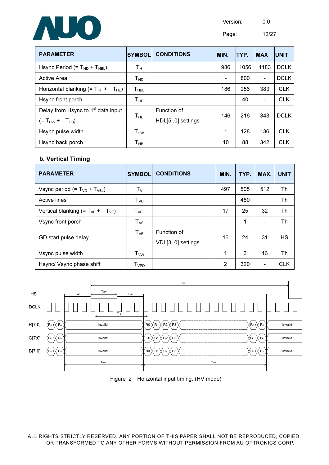

Page: 12/27

PARAMETER SYMBOL CONDITIONS MIN. TYP. MAX UNIT

| Hsync Period (= $T_{HD}$ + $T_{HBL}$ )                   | Tн                         |                  | 986 | 1056 | 1183 | <b>DCLK</b> |
|----------------------------------------------------------|----------------------------|------------------|-----|------|------|-------------|
| Active Area                                              | Т <sub>нр</sub>            |                  |     | 800  |      | <b>DCLK</b> |
| Horizontal blanking (= $T_{HF}$ +<br>${\sf T}_{\sf HE})$ | Т <sub>нв∟</sub>           |                  | 186 | 256  | 383  | <b>CLK</b>  |
| Hsync front porch                                        | $\mathsf{T}_{\mathsf{HF}}$ |                  |     | 40   |      | <b>CLK</b>  |
| Delay from Hsync to 1 <sup>st</sup> data input           |                            | Function of      | 146 | 216  | 343  |             |
| $(= T_{HW} + T_{HB})$                                    | $\mathsf{T}_{\mathsf{HE}}$ | HDL[50] settings |     |      |      | <b>DCLK</b> |
| Hsync pulse width                                        | $\mathsf{T}_{\mathsf{HW}}$ |                  | 1   | 128  | 136  | <b>CLK</b>  |
| Hsync back porch                                         | $\mathsf{T}_{\mathsf{HB}}$ |                  | 10  | 88   | 342  | <b>CLK</b>  |

#### b. Vertical Timing

| <b>PARAMETER</b>                       | <b>SYMBOL</b>               | <b>CONDITIONS</b>               | MIN. | TYP. | MAX.                     | <b>UNIT</b> |
|----------------------------------------|-----------------------------|---------------------------------|------|------|--------------------------|-------------|
| Vsync period $(=T_{VD} + T_{VBL})$     | $T_{V}$                     |                                 | 497  | 505  | 512                      | Th          |
| Active lines                           | T <sub>VD</sub>             |                                 |      | 480  |                          | Th          |
| Vertical blanking $(=T_{VF} + T_{VE})$ | $\mathsf{T}_{\mathsf{VBL}}$ |                                 | 17   | 25   | 32                       | Th          |
| Vsync front porch                      | $T_{VF}$                    |                                 |      | 1    |                          | Th          |
| GD start pulse delay                   | $T_{VE}$                    | Function of<br>VDL[30] settings | 16   | 24   | 31                       | <b>HS</b>   |
| Vsync pulse width                      | <b>T</b> <sub>ww</sub>      |                                 | 1    | 3    | 16                       | Th          |
| Hsync/ Vsync phase shift               | $T_{VPD}$                   |                                 | 2    | 320  | $\overline{\phantom{0}}$ | <b>CLK</b>  |

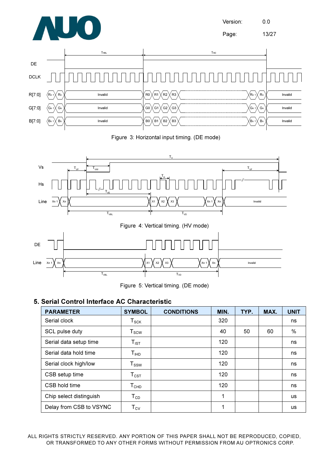

Page: 13/27



Figure 3: Horizontal input timing. (DE mode)



Figure 5: Vertical timing. (DE mode)

### 5. Serial Control Interface AC Characteristic

| <b>PARAMETER</b>        | <b>SYMBOL</b>               | <b>CONDITIONS</b> | MIN. | TYP. | MAX. | <b>UNIT</b> |
|-------------------------|-----------------------------|-------------------|------|------|------|-------------|
| Serial clock            | ${\sf T}_{\sf SCK}$         |                   | 320  |      |      | ns          |
| SCL pulse duty          | ${\sf T}_{\sf scw}$         |                   | 40   | 50   | 60   | $\%$        |
| Serial data setup time  | $T_{\text{IST}}$            |                   | 120  |      |      | ns          |
| Serial data hold time   | $T_{\sf IHD}$               |                   | 120  |      |      | ns          |
| Serial clock high/low   | $T_{SSW}$                   |                   | 120  |      |      | ns          |
| CSB setup time          | $\mathsf{T}_{\mathsf{CST}}$ |                   | 120  |      |      | ns          |
| CSB hold time           | $\mathsf{T}_{\mathsf{CHD}}$ |                   | 120  |      |      | ns          |
| Chip select distinguish | $T_{CD}$                    |                   | 1    |      |      | <b>us</b>   |
| Delay from CSB to VSYNC | $T_{CV}$                    |                   | 1    |      |      | <b>us</b>   |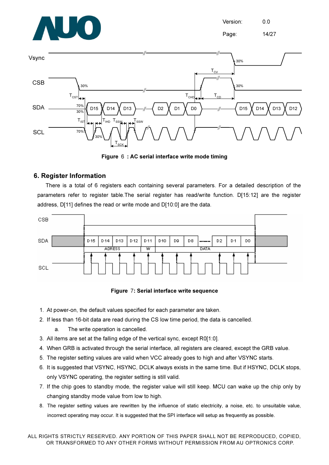



Figure 6 : AC serial interface write mode timing

#### 6. Register Information

There is a total of 6 registers each containing several parameters. For a detailed description of the parameters refer to register table.The serial register has read/write function. D[15:12] are the register address, D[11] defines the read or write mode and D[10:0] are the data.



#### Figure 7: Serial interface write sequence

- 1. At power-on, the default values specified for each parameter are taken.
- 2. If less than 16-bit data are read during the CS low time period, the data is cancelled.
	- a. The write operation is cancelled.
- 3. All items are set at the falling edge of the vertical sync, except R0[1:0].
- 4. When GRB is activated through the serial interface, all registers are cleared, except the GRB value.
- 5. The register setting values are valid when VCC already goes to high and after VSYNC starts.
- 6. It is suggested that VSYNC, HSYNC, DCLK always exists in the same time. But if HSYNC, DCLK stops, only VSYNC operating, the register setting is still valid.
- 7. If the chip goes to standby mode, the register value will still keep. MCU can wake up the chip only by changing standby mode value from low to high.
- 8. The register setting values are rewritten by the influence of static electricity, a noise, etc. to unsuitable value, incorrect operating may occur. It is suggested that the SPI interface will setup as frequently as possible.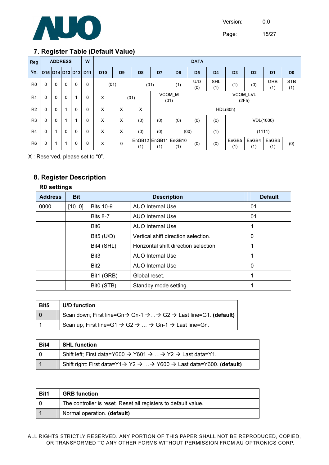

Page: 15/27

### 7. Register Table (Default Value)

| Reg            |                     |             | <b>ADDRESS</b> |          | $\cdot$<br>W |                 |                | $\overline{\phantom{a}}$ |                                            |                             | <b>DATA</b>    |                   |                |                |                   |                   |
|----------------|---------------------|-------------|----------------|----------|--------------|-----------------|----------------|--------------------------|--------------------------------------------|-----------------------------|----------------|-------------------|----------------|----------------|-------------------|-------------------|
| No.            | D15 D14 D13 D12 D11 |             |                |          |              | D <sub>10</sub> | D <sub>9</sub> | D <sub>8</sub>           | D <sub>7</sub>                             | D <sub>6</sub>              | D <sub>5</sub> | D <sub>4</sub>    | D <sub>3</sub> | D <sub>2</sub> | D <sub>1</sub>    | D <sub>0</sub>    |
| R <sub>0</sub> | 0                   | $\mathbf 0$ | $\mathbf 0$    | 0        | 0            |                 | (01)           | (01)                     |                                            | (1)                         | U/D<br>(0)     | <b>SHL</b><br>(1) | (1)            | (0)            | <b>GRB</b><br>(1) | <b>STB</b><br>(1) |
| R <sub>1</sub> | $\Omega$            | $\mathbf 0$ | $\mathbf 0$    | 1        | 0            | X               | (01)           |                          | VCOM M<br><b>VCOM LVL</b><br>(2Fh)<br>(01) |                             |                |                   |                |                |                   |                   |
| R <sub>2</sub> | $\Omega$            | 0           | 1              | $\Omega$ | 0            | X               | X              | X                        | <b>HDL(80h)</b>                            |                             |                |                   |                |                |                   |                   |
| R <sub>3</sub> | 0                   | 0           |                |          | 0            | X               | X              | (0)                      | (0)                                        | (0)                         | (0)            | (0)               | VDL(1000)      |                |                   |                   |
| R <sub>4</sub> | 0                   |             | $\mathbf 0$    | 0        | 0            | X               | X              | (0)                      | (0)                                        | (00)                        |                | (1)               | (1111)         |                |                   |                   |
| R <sub>6</sub> | 0                   | 1           | 1              | 0        | 0            | X               | 0              | (1)                      | (1)                                        | EnGB12 EnGB11 EnGB10<br>(1) | (0)            | (0)               | EnGB5<br>(1)   | EnGB4<br>(1)   | EnGB3<br>(1)      | (0)               |

X : Reserved, please set to "0".

## 8. Register Description

#### R0 settings

| <b>Address</b> | <b>Bit</b> |                        | <b>Description</b>                    |    |  |  |
|----------------|------------|------------------------|---------------------------------------|----|--|--|
| 0000           | [100]      | <b>Bits 10-9</b>       | AUO Internal Use                      | 01 |  |  |
|                |            | <b>Bits 8-7</b>        | AUO Internal Use                      | 01 |  |  |
|                |            | Bit <sub>6</sub>       | AUO Internal Use                      |    |  |  |
|                |            | Bit5 (U/D)             | Vertical shift direction selection.   | 0  |  |  |
|                |            | Bit4 (SHL)             | Horizontal shift direction selection. |    |  |  |
|                |            | Bit <sub>3</sub>       | <b>AUO Internal Use</b>               |    |  |  |
|                |            | Bit <sub>2</sub>       | <b>AUO Internal Use</b>               | 0  |  |  |
|                |            | Bit1 (GRB)             | Global reset.                         |    |  |  |
|                |            | Bit <sub>0</sub> (STB) | Standby mode setting.                 |    |  |  |

| Bit <sub>5</sub> | U/D function                                                                                                     |
|------------------|------------------------------------------------------------------------------------------------------------------|
|                  | Scan down; First line=Gn $\rightarrow$ Gn-1 $\rightarrow$ $\rightarrow$ G2 $\rightarrow$ Last line=G1. (default) |
|                  | Scan up; First line=G1 $\rightarrow$ G2 $\rightarrow$ $\rightarrow$ Gn-1 $\rightarrow$ Last line=Gn.             |

| Bit4 | <b>SHL function</b>                                                                                       |
|------|-----------------------------------------------------------------------------------------------------------|
|      | Shift left; First data=Y600 $\rightarrow$ Y601 $\rightarrow$ $\rightarrow$ Y2 $\rightarrow$ Last data=Y1. |
|      | Shift right: First data=Y1→ Y2 →  → Y600 → Last data=Y600. (default)                                      |

| Bit1 | <b>GRB</b> function                                            |
|------|----------------------------------------------------------------|
|      | The controller is reset. Reset all registers to default value. |
|      | Normal operation. (default)                                    |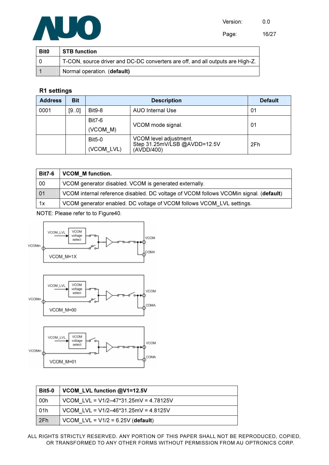

Page: 16/27

| <b>Bit0</b> | <b>STB</b> function                                                            |
|-------------|--------------------------------------------------------------------------------|
|             | T-CON, source driver and DC-DC converters are off, and all outputs are High-Z. |
|             | Normal operation. (default)                                                    |

#### R1 settings

| <b>Address</b> | <b>Bit</b> |                             | <b>Description</b>                                                   |     |  |  |  |
|----------------|------------|-----------------------------|----------------------------------------------------------------------|-----|--|--|--|
| 0001           | [9.0]      | <b>Bit9-8</b>               | 01                                                                   |     |  |  |  |
|                |            | <b>Bit7-6</b><br>(VCOM M)   | VCOM mode signal.                                                    | 01  |  |  |  |
|                |            | <b>Bit5-0</b><br>(VCOM LVL) | VCOM level adjustment.<br>Step 31.25mV/LSB @AVDD=12.5V<br>(AVDD/400) | 2Fh |  |  |  |

| <b>Bit7-6</b> | <b>VCOM M function.</b>                                                               |
|---------------|---------------------------------------------------------------------------------------|
| 00            | VCOM generator disabled. VCOM is generated externally.                                |
| 01            | VCOM internal reference disabled. DC voltage of VCOM follows VCOMin signal. (default) |
| 1x            | VCOM generator enabled. DC voltage of VCOM follows VCOM LVL settings.                 |

NOTE: Please refer to to Figure40.



| <b>Bit5-0</b> | VCOM LVL function @V1=12.5V             |
|---------------|-----------------------------------------|
| .00h          | VCOM LVL = $V1/2-47*31.25mV = 4.78125V$ |
| 01h           | VCOM LVL = $V1/2-46*31.25mV = 4.8125V$  |
| 2Fh           | VCOM LVL = $V1/2$ = 6.25V (default)     |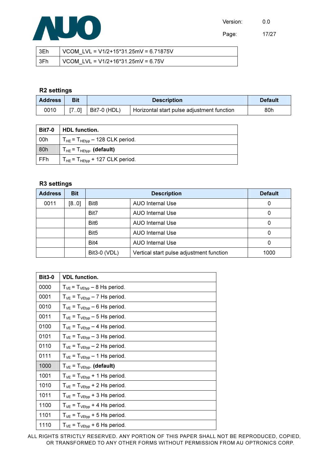

Page: 17/27

| 3Eh | VCOM LVL = $V1/2+15*31.25mV = 6.71875V$ |
|-----|-----------------------------------------|
| 3Fh | VCOM LVL = $V1/2+16*31.25$ mV = 6.75V   |

#### R2 settings

| <b>Address</b> | Bit  |              | <b>Default</b>                             |     |
|----------------|------|--------------|--------------------------------------------|-----|
| 0010           | [70] | Bit7-0 (HDL) | Horizontal start pulse adjustment function | 80h |

| <b>Bit7-0</b> | HDL function.                            |
|---------------|------------------------------------------|
| 00h           | $T_{HE}$ = $T_{HEtyp}$ – 128 CLK period. |
| 80h           | $T_{HE}$ = $T_{HEtyp}$ . (default)       |
| FFh           | $T_{HE}$ = $T_{HEtyp}$ + 127 CLK period. |

#### R3 settings

| <b>Address</b> | <b>Bit</b> |                                             | <b>Default</b>                           |      |
|----------------|------------|---------------------------------------------|------------------------------------------|------|
| 0011           | [8.0]      | Bit <sub>8</sub>                            | <b>AUO Internal Use</b>                  | 0    |
|                |            | Bit7                                        | <b>AUO Internal Use</b>                  | 0    |
|                |            | Bit <sub>6</sub><br><b>AUO Internal Use</b> |                                          | 0    |
|                |            | Bit <sub>5</sub>                            | <b>AUO</b> Internal Use                  | 0    |
|                |            | Bit4                                        | <b>AUO Internal Use</b>                  | 0    |
|                |            | Bit3-0 (VDL)                                | Vertical start pulse adjustment function | 1000 |

| <b>Bit3-0</b> | <b>VDL function.</b>                              |
|---------------|---------------------------------------------------|
| 0000          | $T_{VE}$ = $T_{VEVp}$ – 8 Hs period.              |
| 0001          | $T_{VE}$ = $T_{VEVp}$ – 7 Hs period.              |
| 0010          | $T_{VE} = T_{VE\text{tvp}} - 6$ Hs period.        |
| 0011          | $T_{VE} = T_{VEtyp} - 5$ Hs period.               |
| 0100          | $T_{VE} = T_{VE\text{tvp}} - 4$ Hs period.        |
| 0101          | $T_{VE} = T_{VEtyp} - 3$ Hs period.               |
| 0110          | $T_{VE}$ = $T_{VEtyp}$ – 2 Hs period.             |
| 0111          | $T_{VE}$ = $T_{VEtyp}$ – 1 Hs period.             |
| 1000          | $T_{VE}$ = $T_{VEVp}$ . (default)                 |
| 1001          | $T_{VE}$ = $T_{VE^{\text{typ}}}$ + 1 Hs period.   |
| 1010          | $T_{VE} = T_{VEtyp} + 2$ Hs period.               |
| 1011          | $T_{VE} = T_{VEtyp} + 3$ Hs period.               |
| 1100          | $T_{VE}$ = $T_{VE^{\text{typ}}}$ + 4 Hs period.   |
| 1101          | $T_{VE}$ = $T_{VE}$ <sub>typ</sub> + 5 Hs period. |
| 1110          | $T_{VE}$ = $T_{VEtyp}$ + 6 Hs period.             |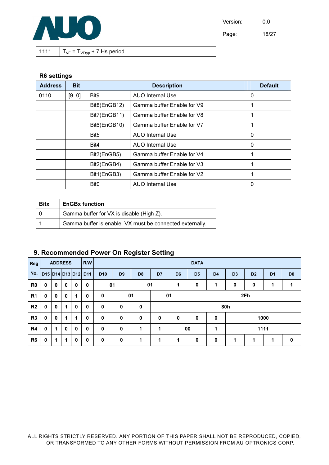

Page: 18/27

1111  $T_{VE} = T_{VEVp} + 7$  Hs period.

#### R6 settings

| <b>Address</b> | <b>Bit</b> |                  | <b>Default</b>             |   |
|----------------|------------|------------------|----------------------------|---|
| 0110           | [9.0]      | Bit9             | <b>AUO Internal Use</b>    | 0 |
|                |            | Bit8(EnGB12)     | Gamma buffer Enable for V9 |   |
|                |            | Bit7(EnGB11)     | Gamma buffer Enable for V8 |   |
|                |            | Bit6(EnGB10)     | Gamma buffer Enable for V7 |   |
|                |            | Bit <sub>5</sub> | <b>AUO Internal Use</b>    | 0 |
|                |            | Bit4             | <b>AUO Internal Use</b>    | 0 |
|                |            | Bit3(EnGB5)      | Gamma buffer Enable for V4 |   |
|                |            | Bit2(EnGB4)      | Gamma buffer Enable for V3 |   |
|                |            | Bit1(EnGB3)      | Gamma buffer Enable for V2 |   |
|                |            | Bit <sub>0</sub> | <b>AUO Internal Use</b>    | 0 |

| <b>Bitx</b> | <b>EnGBx function</b>                                    |
|-------------|----------------------------------------------------------|
| חו          | Gamma buffer for VX is disable (High Z).                 |
|             | Gamma buffer is enable. VX must be connected externally. |

## 9. Recommended Power On Register Setting

| Reg            |                         | <b>ADDRESS</b> |              |              | <b>R/W</b>  |                 |                |                |           |                 | <b>DATA</b>              |                |                |                |                |                |
|----------------|-------------------------|----------------|--------------|--------------|-------------|-----------------|----------------|----------------|-----------|-----------------|--------------------------|----------------|----------------|----------------|----------------|----------------|
|                | No. D15 D14 D13 D12 D11 |                |              |              |             | D <sub>10</sub> | D <sub>9</sub> | D <sub>8</sub> | D7        | D <sub>6</sub>  | D <sub>5</sub>           | D <sub>4</sub> | D <sub>3</sub> | D <sub>2</sub> | D <sub>1</sub> | D <sub>0</sub> |
| R0             | 0                       | $\mathbf 0$    | $\mathbf 0$  | $\mathbf{0}$ | 0           |                 | 01             | 01             |           | 1               | 0                        | 1              | 0              | $\mathbf 0$    | 1              |                |
| R <sub>1</sub> | $\mathbf 0$             | 0              | $\mathbf{0}$ | 1            | $\mathbf 0$ | $\mathbf 0$     | 01             |                | 2Fh<br>01 |                 |                          |                |                |                |                |                |
| R <sub>2</sub> | $\mathbf{0}$            | 0              | $\mathbf{1}$ | $\mathbf{0}$ | $\mathbf 0$ | $\mathbf 0$     | 0              | 0              | 80h       |                 |                          |                |                |                |                |                |
| R3             | $\mathbf 0$             | $\mathbf{0}$   | $\mathbf{1}$ | 1            | $\mathbf 0$ | 0               | $\mathbf 0$    | 0              | 0         | 0               | $\mathbf 0$<br>0<br>1000 |                |                |                |                |                |
| R <sub>4</sub> | $\mathbf 0$             | 1              | $\mathbf{0}$ | $\mathbf{0}$ | $\mathbf 0$ | $\mathbf 0$     | $\mathbf 0$    | 1              | 1         | 00<br>1111<br>1 |                          |                |                |                |                |                |
| R <sub>6</sub> | $\mathbf 0$             | 1              | $\mathbf{1}$ | $\mathbf 0$  | $\mathbf 0$ | $\mathbf 0$     | $\mathbf 0$    | 1              | 1         | 1               | $\mathbf 0$              | $\mathbf 0$    | 1              | $\mathbf 1$    | 1              | 0              |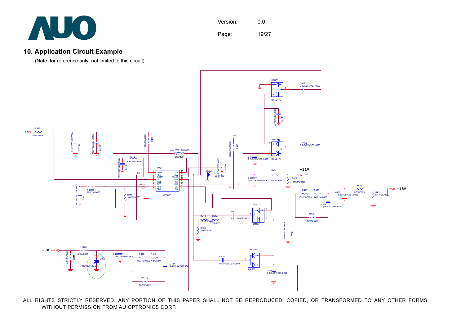

Version: 0.0 Page: 19/27

#### 10. Application Circuit Example

(Note: for reference only, not limited to this circuit)



ALL RIGHTS STRICTLY RESERVED. ANY PORTION OF THIS PAPER SHALL NOT BE REPRODUCED, COPIED, OR TRANSFORMED TO ANY OTHER FORMS WITHOUT PERMISSION FROM AU OPTRONICS CORP.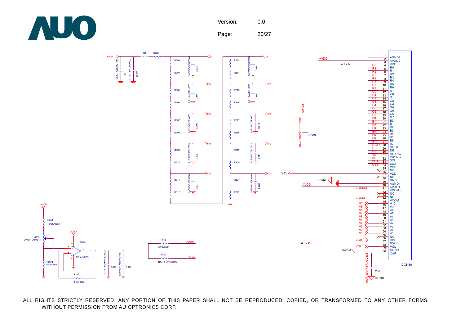

Page: 20/27

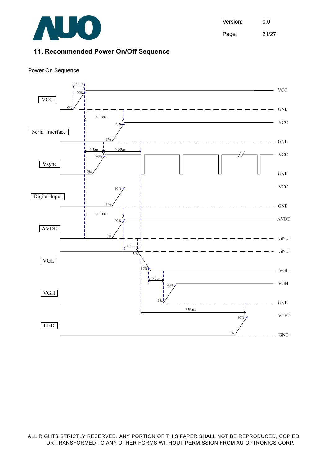

Version: 0.0 Page: 21/27

#### 11. Recommended Power On/Off Sequence

#### Power On Sequence

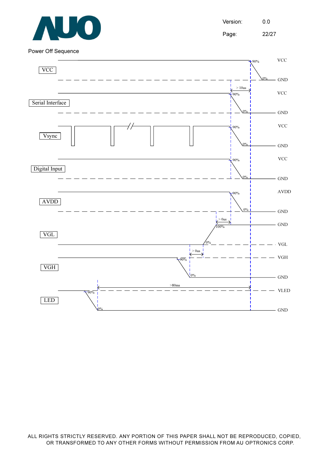

Version: 0.0 Page: 22/27

Power Off Sequence

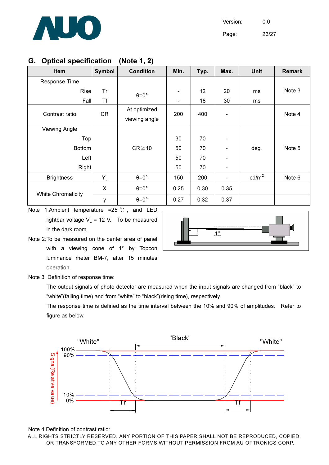

Version: 0.0 Page: 23/27

## G. Optical specification (Note 1, 2)

| <b>Item</b>               | <b>Symbol</b> | <b>Condition</b>              | Min.                         | Typ. | Max.                     | <b>Unit</b>       | <b>Remark</b> |
|---------------------------|---------------|-------------------------------|------------------------------|------|--------------------------|-------------------|---------------|
| Response Time             |               |                               |                              |      |                          |                   |               |
| Rise                      | Tr            | $\theta = 0^\circ$            |                              | 12   | 20                       | ms                | Note 3        |
| Fall                      | <b>Tf</b>     |                               | $\qquad \qquad \blacksquare$ | 18   | 30                       | ms                |               |
| Contrast ratio            | <b>CR</b>     | At optimized<br>viewing angle | 200                          | 400  | $\overline{\phantom{a}}$ |                   | Note 4        |
| Viewing Angle             |               |                               |                              |      |                          |                   |               |
| Top                       |               |                               | 30                           | 70   | $\overline{\phantom{a}}$ |                   |               |
| <b>Bottom</b>             |               | $CR \ge 10$                   | 50                           | 70   | $\overline{\phantom{a}}$ | deg.              | Note 5        |
| Left                      |               |                               | 50                           | 70   | $\overline{\phantom{0}}$ |                   |               |
| <b>Right</b>              |               |                               | 50                           | 70   |                          |                   |               |
| <b>Brightness</b>         | $Y_L$         | $\theta = 0^\circ$            | 150                          | 200  | $\overline{\phantom{a}}$ | cd/m <sup>2</sup> | Note 6        |
|                           | X             | $\theta = 0^{\circ}$          | 0.25                         | 0.30 | 0.35                     |                   |               |
| <b>White Chromaticity</b> | У             | $\theta = 0^\circ$            | 0.27                         | 0.32 | 0.37                     |                   |               |

Note 1: Ambient temperature =  $25 \degree$ C, and LED lightbar voltage  $V_L$  = 12 V. To be measured in the dark room.



Note 2:To be measured on the center area of panel with a viewing cone of 1° by Topcon luminance meter BM-7, after 15 minutes operation.

Note 3. Definition of response time:

 The output signals of photo detector are measured when the input signals are changed from "black" to "white"(falling time) and from "white" to "black"(rising time), respectively.

 The response time is defined as the time interval between the 10% and 90% of amplitudes. Refer to figure as below.



Note 4.Definition of contrast ratio: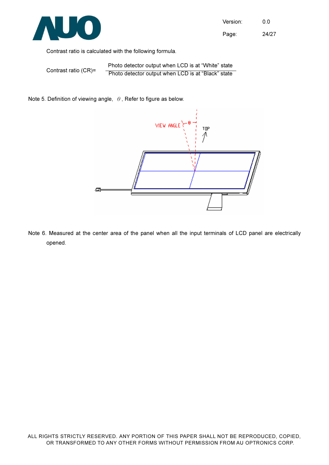

Page: 24/27

Contrast ratio is calculated with the following formula.

 Contrast ratio (CR)= Photo detector output when LCD is at "White" state Photo detector output when LCD is at "Black" state

Note 5. Definition of viewing angle,  $\theta$ , Refer to figure as below.



Note 6. Measured at the center area of the panel when all the input terminals of LCD panel are electrically opened.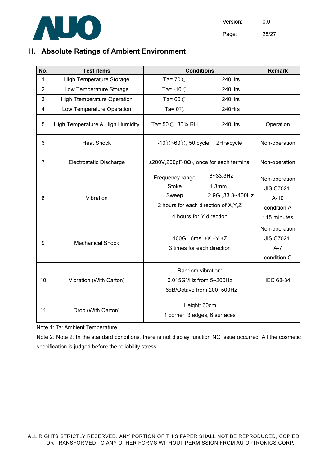

## H. Absolute Ratings of Ambient Environment

| No.            | <b>Test items</b>                  |                                                                                                              | <b>Conditions</b>                                  |                                                                             |  |
|----------------|------------------------------------|--------------------------------------------------------------------------------------------------------------|----------------------------------------------------|-----------------------------------------------------------------------------|--|
| 1              | <b>High Temperature Storage</b>    | Ta= $70^{\circ}$ C                                                                                           | 240Hrs                                             |                                                                             |  |
| $\overline{2}$ | Low Temperature Storage            | Ta= $-10^{\circ}$ C                                                                                          | 240Hrs                                             |                                                                             |  |
| 3              | <b>High Ttemperature Operation</b> | Ta= $60^{\circ}$ C                                                                                           | 240Hrs                                             |                                                                             |  |
| $\overline{4}$ | Low Temperature Operation          | Ta= $0^{\circ}$ C                                                                                            | 240Hrs                                             |                                                                             |  |
| 5              | High Temperature & High Humidity   | Ta= 50℃. 80% RH                                                                                              | 240Hrs                                             | Operation                                                                   |  |
| 6              | <b>Heat Shock</b>                  | $-10^{\circ}$ C $\sim$ 60 $^{\circ}$ C, 50 cycle,                                                            | 2Hrs/cycle                                         | Non-operation                                                               |  |
| 7              | Electrostatic Discharge            | $±200V,200pF(0\Omega)$ , once for each terminal                                                              |                                                    | Non-operation                                                               |  |
| 8              | Vibration                          | Frequency range<br><b>Stoke</b><br>Sweep<br>2 hours for each direction of X, Y, Z<br>4 hours for Y direction | $: 8 \sim 33.3$ Hz<br>: 1.3mm<br>:2.9G, 33.3~400Hz | Non-operation<br><b>JIS C7021,</b><br>$A-10$<br>condition A<br>: 15 minutes |  |
| 9              | <b>Mechanical Shock</b>            | 100G. 6ms, ±X,±Y,±Z<br>3 times for each direction                                                            |                                                    | Non-operation<br>JIS C7021,<br>$A - 7$<br>condition C                       |  |
| 10             | Vibration (With Carton)            | Random vibration:<br>$0.015G^2$ /Hz from 5~200Hz<br>-6dB/Octave from 200~500Hz                               |                                                    | IEC 68-34                                                                   |  |
| 11             | Drop (With Carton)                 | Height: 60cm<br>1 corner, 3 edges, 6 surfaces                                                                |                                                    |                                                                             |  |

Note 1: Ta: Ambient Temperature.

Note 2: Note 2: In the standard conditions, there is not display function NG issue occurred. All the cosmetic specification is judged before the reliability stress.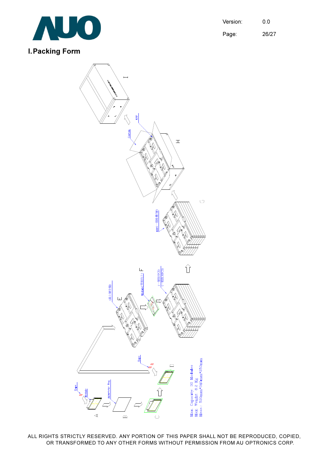

Version: 0.0 Page: 26/27

## I. Packing Form